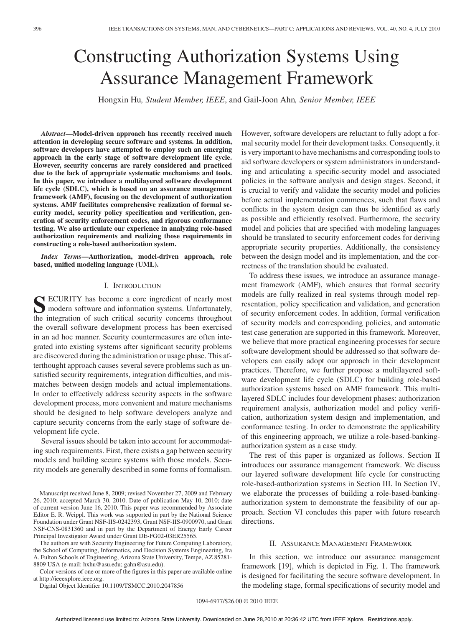# Constructing Authorization Systems Using Assurance Management Framework

Hongxin Hu*, Student Member, IEEE*, and Gail-Joon Ahn*, Senior Member, IEEE*

*Abstract***—Model-driven approach has recently received much attention in developing secure software and systems. In addition, software developers have attempted to employ such an emerging approach in the early stage of software development life cycle. However, security concerns are rarely considered and practiced due to the lack of appropriate systematic mechanisms and tools. In this paper, we introduce a multilayered software development life cycle (SDLC), which is based on an assurance management framework (AMF), focusing on the development of authorization systems. AMF facilitates comprehensive realization of formal security model, security policy specification and verification, generation of security enforcement codes, and rigorous conformance testing. We also articulate our experience in analyzing role-based authorization requirements and realizing those requirements in constructing a role-based authorization system.**

*Index Terms***—Authorization, model-driven approach, role based, unified modeling language (UML).**

# I. INTRODUCTION

**S** ECURITY has become a core ingredient of nearly most modern software and information systems. Unfortunately, the integration of such critical security concerns throughout the overall software development process has been exercised in an ad hoc manner. Security countermeasures are often integrated into existing systems after significant security problems are discovered during the administration or usage phase. This afterthought approach causes several severe problems such as unsatisfied security requirements, integration difficulties, and mismatches between design models and actual implementations. In order to effectively address security aspects in the software development process, more convenient and mature mechanisms should be designed to help software developers analyze and capture security concerns from the early stage of software development life cycle.

Several issues should be taken into account for accommodating such requirements. First, there exists a gap between security models and building secure systems with those models. Security models are generally described in some forms of formalism.

Manuscript received June 8, 2009; revised November 27, 2009 and February 26, 2010; accepted March 30, 2010. Date of publication May 10, 2010; date of current version June 16, 2010. This paper was recommended by Associate Editor E. R. Weippl. This work was supported in part by the National Science Foundation under Grant NSF-IIS-0242393, Grant NSF-IIS-0900970, and Grant NSF-CNS-0831360 and in part by the Department of Energy Early Career Principal Investigator Award under Grant DE-FG02-03ER25565.

The authors are with Security Engineering for Future Computing Laboratory, the School of Computing, Informatics, and Decision Systems Engineering, Ira A. Fulton Schools of Engineering, Arizona State University, Tempe, AZ 85281- 8809 USA (e-mail: hxhu@asu.edu; gahn@asu.edu).

Color versions of one or more of the figures in this paper are available online at http://ieeexplore.ieee.org.

Digital Object Identifier 10.1109/TSMCC.2010.2047856

However, software developers are reluctant to fully adopt a formal security model for their development tasks. Consequently, it is very important to have mechanisms and corresponding tools to aid software developers or system administrators in understanding and articulating a specific-security model and associated policies in the software analysis and design stages. Second, it is crucial to verify and validate the security model and policies before actual implementation commences, such that flaws and conflicts in the system design can thus be identified as early as possible and efficiently resolved. Furthermore, the security model and policies that are specified with modeling languages should be translated to security enforcement codes for deriving appropriate security properties. Additionally, the consistency between the design model and its implementation, and the correctness of the translation should be evaluated.

To address these issues, we introduce an assurance management framework (AMF), which ensures that formal security models are fully realized in real systems through model representation, policy specification and validation, and generation of security enforcement codes. In addition, formal verification of security models and corresponding policies, and automatic test case generation are supported in this framework. Moreover, we believe that more practical engineering processes for secure software development should be addressed so that software developers can easily adopt our approach in their development practices. Therefore, we further propose a multilayered software development life cycle (SDLC) for building role-based authorization systems based on AMF framework. This multilayered SDLC includes four development phases: authorization requirement analysis, authorization model and policy verification, authorization system design and implementation, and conformance testing. In order to demonstrate the applicability of this engineering approach, we utilize a role-based-bankingauthorization system as a case study.

The rest of this paper is organized as follows. Section II introduces our assurance management framework. We discuss our layered software development life cycle for constructing role-based-authorization systems in Section III. In Section IV, we elaborate the processes of building a role-based-bankingauthorization system to demonstrate the feasibility of our approach. Section VI concludes this paper with future research directions.

#### II. ASSURANCE MANAGEMENT FRAMEWORK

In this section, we introduce our assurance management framework [19], which is depicted in Fig. 1. The framework is designed for facilitating the secure software development. In the modeling stage, formal specifications of security model and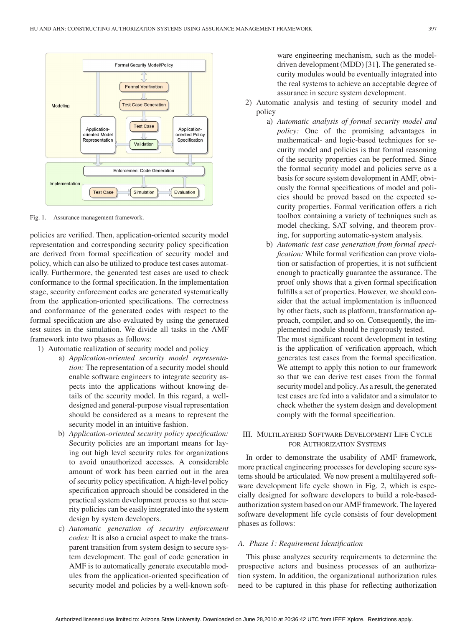

Fig. 1. Assurance management framework.

policies are verified. Then, application-oriented security model representation and corresponding security policy specification are derived from formal specification of security model and policy, which can also be utilized to produce test cases automatically. Furthermore, the generated test cases are used to check conformance to the formal specification. In the implementation stage, security enforcement codes are generated systematically from the application-oriented specifications. The correctness and conformance of the generated codes with respect to the formal specification are also evaluated by using the generated test suites in the simulation. We divide all tasks in the AMF framework into two phases as follows:

- 1) Automatic realization of security model and policy
	- a) *Application-oriented security model representation:* The representation of a security model should enable software engineers to integrate security aspects into the applications without knowing details of the security model. In this regard, a welldesigned and general-purpose visual representation should be considered as a means to represent the security model in an intuitive fashion.
	- b) *Application-oriented security policy specification:* Security policies are an important means for laying out high level security rules for organizations to avoid unauthorized accesses. A considerable amount of work has been carried out in the area of security policy specification. A high-level policy specification approach should be considered in the practical system development process so that security policies can be easily integrated into the system design by system developers.
	- c) *Automatic generation of security enforcement codes:* It is also a crucial aspect to make the transparent transition from system design to secure system development. The goal of code generation in AMF is to automatically generate executable modules from the application-oriented specification of security model and policies by a well-known soft-

ware engineering mechanism, such as the modeldriven development (MDD) [31]. The generated security modules would be eventually integrated into the real systems to achieve an acceptable degree of assurance in secure system development.

- 2) Automatic analysis and testing of security model and policy
	- a) *Automatic analysis of formal security model and policy:* One of the promising advantages in mathematical- and logic-based techniques for security model and policies is that formal reasoning of the security properties can be performed. Since the formal security model and policies serve as a basis for secure system development in AMF, obviously the formal specifications of model and policies should be proved based on the expected security properties. Formal verification offers a rich toolbox containing a variety of techniques such as model checking, SAT solving, and theorem proving, for supporting automatic-system analysis.
	- b) *Automatic test case generation from formal specification:* While formal verification can prove violation or satisfaction of properties, it is not sufficient enough to practically guarantee the assurance. The proof only shows that a given formal specification fulfills a set of properties. However, we should consider that the actual implementation is influenced by other facts, such as platform, transformation approach, compiler, and so on. Consequently, the implemented module should be rigorously tested. The most significant recent development in testing is the application of verification approach, which generates test cases from the formal specification. We attempt to apply this notion to our framework

so that we can derive test cases from the formal security model and policy. As a result, the generated test cases are fed into a validator and a simulator to check whether the system design and development comply with the formal specification.

# III. MULTILAYERED SOFTWARE DEVELOPMENT LIFE CYCLE FOR AUTHORIZATION SYSTEMS

In order to demonstrate the usability of AMF framework, more practical engineering processes for developing secure systems should be articulated. We now present a multilayered software development life cycle shown in Fig. 2, which is especially designed for software developers to build a role-basedauthorization system based on our AMF framework. The layered software development life cycle consists of four development phases as follows:

# *A. Phase 1: Requirement Identification*

This phase analyzes security requirements to determine the prospective actors and business processes of an authorization system. In addition, the organizational authorization rules need to be captured in this phase for reflecting authorization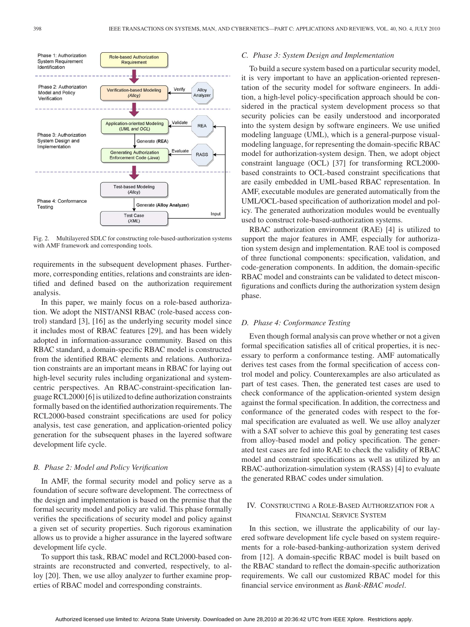

Fig. 2. Multilayered SDLC for constructing role-based-authorization systems with AMF framework and corresponding tools.

requirements in the subsequent development phases. Furthermore, corresponding entities, relations and constraints are identified and defined based on the authorization requirement analysis.

In this paper, we mainly focus on a role-based authorization. We adopt the NIST/ANSI RBAC (role-based access control) standard [3], [16] as the underlying security model since it includes most of RBAC features [29], and has been widely adopted in information-assurance community. Based on this RBAC standard, a domain-specific RBAC model is constructed from the identified RBAC elements and relations. Authorization constraints are an important means in RBAC for laying out high-level security rules including organizational and systemcentric perspectives. An RBAC-constraint-specification language RCL2000 [6] is utilized to define authorization constraints formally based on the identified authorization requirements. The RCL2000-based constraint specifications are used for policy analysis, test case generation, and application-oriented policy generation for the subsequent phases in the layered software development life cycle.

#### *B. Phase 2: Model and Policy Verification*

In AMF, the formal security model and policy serve as a foundation of secure software development. The correctness of the design and implementation is based on the premise that the formal security model and policy are valid. This phase formally verifies the specifications of security model and policy against a given set of security properties. Such rigorous examination allows us to provide a higher assurance in the layered software development life cycle.

To support this task, RBAC model and RCL2000-based constraints are reconstructed and converted, respectively, to alloy [20]. Then, we use alloy analyzer to further examine properties of RBAC model and corresponding constraints.

## *C. Phase 3: System Design and Implementation*

To build a secure system based on a particular security model, it is very important to have an application-oriented representation of the security model for software engineers. In addition, a high-level policy-specification approach should be considered in the practical system development process so that security policies can be easily understood and incorporated into the system design by software engineers. We use unified modeling language (UML), which is a general-purpose visualmodeling language, for representing the domain-specific RBAC model for authorization-system design. Then, we adopt object constraint language (OCL) [37] for transforming RCL2000 based constraints to OCL-based constraint specifications that are easily embedded in UML-based RBAC representation. In AMF, executable modules are generated automatically from the UML/OCL-based specification of authorization model and policy. The generated authorization modules would be eventually used to construct role-based-authorization systems.

RBAC authorization environment (RAE) [4] is utilized to support the major features in AMF, especially for authorization system design and implementation. RAE tool is composed of three functional components: specification, validation, and code-generation components. In addition, the domain-specific RBAC model and constraints can be validated to detect misconfigurations and conflicts during the authorization system design phase.

# *D. Phase 4: Conformance Testing*

Even though formal analysis can prove whether or not a given formal specification satisfies all of critical properties, it is necessary to perform a conformance testing. AMF automatically derives test cases from the formal specification of access control model and policy. Counterexamples are also articulated as part of test cases. Then, the generated test cases are used to check conformance of the application-oriented system design against the formal specification. In addition, the correctness and conformance of the generated codes with respect to the formal specification are evaluated as well. We use alloy analyzer with a SAT solver to achieve this goal by generating test cases from alloy-based model and policy specification. The generated test cases are fed into RAE to check the validity of RBAC model and constraint specifications as well as utilized by an RBAC-authorization-simulation system (RASS) [4] to evaluate the generated RBAC codes under simulation.

# IV. CONSTRUCTING A ROLE-BASED AUTHORIZATION FOR A FINANCIAL SERVICE SYSTEM

In this section, we illustrate the applicability of our layered software development life cycle based on system requirements for a role-based-banking-authorization system derived from [12]. A domain-specific RBAC model is built based on the RBAC standard to reflect the domain-specific authorization requirements. We call our customized RBAC model for this financial service environment as *Bank-RBAC model*.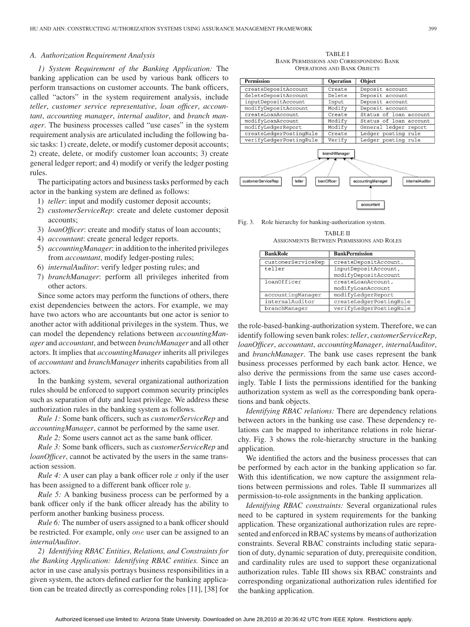#### *A. Authorization Requirement Analysis*

*1) System Requirement of the Banking Application:* The banking application can be used by various bank officers to perform transactions on customer accounts. The bank officers, called "actors" in the system requirement analysis, include *teller*, *customer service representative*, *loan officer*, *accountant*, *accounting manager*, *internal auditor*, and *branch manager*. The business processes called "use cases" in the system requirement analysis are articulated including the following basic tasks: 1) create, delete, or modify customer deposit accounts; 2) create, delete, or modify customer loan accounts; 3) create general ledger report; and 4) modify or verify the ledger posting rules.

The participating actors and business tasks performed by each actor in the banking system are defined as follows:

- 1) *teller*: input and modify customer deposit accounts;
- 2) *customerServiceRep*: create and delete customer deposit accounts;
- 3) *loanOfficer*: create and modify status of loan accounts;
- 4) *accountant*: create general ledger reports.
- 5) *accountingManager*: in addition to the inherited privileges from *accountant*, modify ledger-posting rules;
- 6) *internalAuditor*: verify ledger posting rules; and
- 7) *branchManager*: perform all privileges inherited from other actors.

Since some actors may perform the functions of others, there exist dependencies between the actors. For example, we may have two actors who are accountants but one actor is senior to another actor with additional privileges in the system. Thus, we can model the dependency relations between *accountingManager* and *accountant*, and between *branchManager* and all other actors. It implies that *accountingManager* inherits all privileges of *accountant* and *branchManager* inherits capabilities from all actors.

In the banking system, several organizational authorization rules should be enforced to support common security principles such as separation of duty and least privilege. We address these authorization rules in the banking system as follows.

*Rule 1:* Some bank officers, such as *customerServiceRep* and *accountingManager*, cannot be performed by the same user.

*Rule 2:* Some users cannot act as the same bank officer.

*Rule 3:* Some bank officers, such as *customerServiceRep* and *loanOfficer*, cannot be activated by the users in the same transaction session.

*Rule 4:* A user can play a bank officer role x only if the user has been assigned to a different bank officer role y.

*Rule 5:* A banking business process can be performed by a bank officer only if the bank officer already has the ability to perform another banking business process.

*Rule 6:* The number of users assigned to a bank officer should be restricted. For example, only one user can be assigned to an *internalAuditor*.

*2) Identifying RBAC Entities, Relations, and Constraints for the Banking Application: Identifying RBAC entities.* Since an actor in use case analysis portrays business responsibilities in a given system, the actors defined earlier for the banking application can be treated directly as corresponding roles [11], [38] for

TABLE I BANK PERMISSIONS AND CORRESPONDING BANK OPERATIONS AND BANK OBJECTS

| <b>Permission</b>                                                                   | <b>Operation</b> | Object                 |  |  |  |
|-------------------------------------------------------------------------------------|------------------|------------------------|--|--|--|
| createDepositAccount                                                                | Create           | Deposit account        |  |  |  |
| deleteDepositAccount                                                                | Delete           | Deposit account        |  |  |  |
| inputDepositAccount                                                                 | Input            | Deposit account        |  |  |  |
| modifyDepositAccount                                                                | Modify           | Deposit account        |  |  |  |
| createLoanAccount                                                                   | Create           | Status of loan account |  |  |  |
| modifyLoanAccount                                                                   | Modify           | Status of loan account |  |  |  |
| modifyLedgerReport                                                                  | Modify           | General ledger report  |  |  |  |
| createLedgerPostingRule                                                             | Create           | Ledger posting rule    |  |  |  |
| verifyLedgerPostingRule                                                             | Verify           | Ledger posting rule    |  |  |  |
| branchManager                                                                       |                  |                        |  |  |  |
| loanOfficer<br>internalAuditor<br>customerServiceRep<br>accountingManager<br>teller |                  |                        |  |  |  |
| accountant                                                                          |                  |                        |  |  |  |

Fig. 3. Role hierarchy for banking-authorization system.

TABLE II ASSIGNMENTS BETWEEN PERMISSIONS AND ROLES

| <b>BankRole</b>    | <b>BankPermission</b>   |  |
|--------------------|-------------------------|--|
| customerServiceRep | createDepositAccount,   |  |
| teller             | inputDepositAccount,    |  |
|                    | modifyDepositAccount    |  |
| loanOfficer        | createLoanAccount,      |  |
|                    | modifyLoanAccount       |  |
| accountingManager  | modifyLedgerReport      |  |
| internalAuditor    | createLedgerPostingRule |  |
| branchManager      | verifyLedgerPostingRule |  |

the role-based-banking-authorization system. Therefore, we can identify following seven bank roles: *teller*, *customerServiceRep*, *loanOfficer*, *accountant*, *accountingManager*, *internalAuditor*, and *branchManager*. The bank use cases represent the bank business processes performed by each bank actor. Hence, we also derive the permissions from the same use cases accordingly. Table I lists the permissions identified for the banking authorization system as well as the corresponding bank operations and bank objects.

*Identifying RBAC relations:* There are dependency relations between actors in the banking use case. These dependency relations can be mapped to inheritance relations in role hierarchy. Fig. 3 shows the role-hierarchy structure in the banking application.

We identified the actors and the business processes that can be performed by each actor in the banking application so far. With this identification, we now capture the assignment relations between permissions and roles. Table II summarizes all permission-to-role assignments in the banking application.

*Identifying RBAC constraints:* Several organizational rules need to be captured in system requirements for the banking application. These organizational authorization rules are represented and enforced in RBAC systems by means of authorization constraints. Several RBAC constraints including static separation of duty, dynamic separation of duty, prerequisite condition, and cardinality rules are used to support these organizational authorization rules. Table III shows six RBAC constraints and corresponding organizational authorization rules identified for the banking application.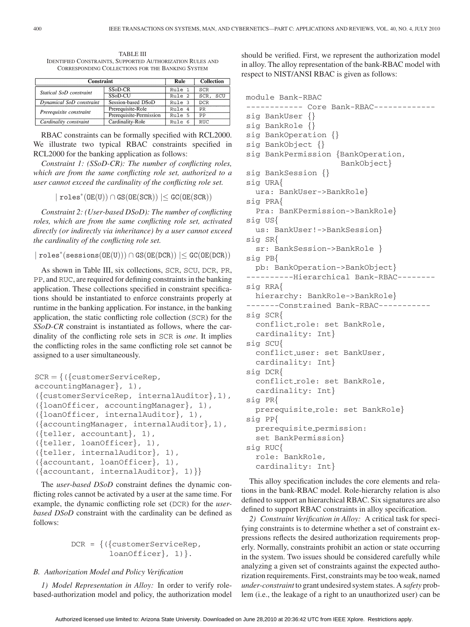TABLE III IDENTIFIED CONSTRAINTS, SUPPORTED AUTHORIZATION RULES AND CORRESPONDING COLLECTIONS FOR THE BANKING SYSTEM

| Constraint               |                         | Rule   | Collection |
|--------------------------|-------------------------|--------|------------|
| Statical SoD constraint  | SS <sub>o</sub> D-CR    | Rule 1 | SCR        |
|                          | SSoD-CU                 | Rule 2 | SCR. SCU   |
| Dynamical SoD constraint | Session-based DSoD      | Rule 3 | <b>DCR</b> |
| Prerequisite constraint  | Prerequisite-Role       | Rule 4 | PR         |
|                          | Prerequisite-Permission | Rule 5 | PP         |
| Cardinality constraint   | Cardinality-Role        | Rule 6 | RUC.       |

RBAC constraints can be formally specified with RCL2000. We illustrate two typical RBAC constraints specified in RCL2000 for the banking application as follows:

*Constraint 1: (SSoD-CR): The number of conflicting roles, which are from the same conflicting role set, authorized to a user cannot exceed the cardinality of the conflicting role set.*

 $|$  roles<sup>\*</sup>( $OE(U))$ )  $\cap$  GS( $OE(SCR))$ )  $\leq$  GC( $OE(SCR)$ )

*Constraint 2: (User-based DSoD): The number of conflicting roles, which are from the same conflicting role set, activated directly (or indirectly via inheritance) by a user cannot exceed the cardinality of the conflicting role set.*

 $|\texttt{roles}^*(\texttt{sessions}(\texttt{OE}(\texttt{U}))) \cap \texttt{GS}(\texttt{OE}(\texttt{DCR}))| \leq \texttt{GC}(\texttt{OE}(\texttt{DCR}))$ 

As shown in Table III, six collections, SCR, SCU, DCR, PR, PP, and RUC, are required for defining constraints in the banking application. These collections specified in constraint specifications should be instantiated to enforce constraints properly at runtime in the banking application. For instance, in the banking application, the static conflicting role collection (SCR) for the *SSoD-CR* constraint is instantiated as follows, where the cardinality of the conflicting role sets in SCR is *one*. It implies the conflicting roles in the same conflicting role set cannot be assigned to a user simultaneously.

```
SCR = \{(\{customerServiceRep,accountingManager}, 1),
({customerServiceRep, internalAuditor},1),
({loanOfficer, accountingManager}, 1),
({loanOfficer, internalAuditor}, 1),
({accountingManager, internalAuditor},1),
({teller, accountant}, 1),
({teller, loanOfficer}, 1),
({teller, internalAuditor}, 1),
({accountant, loanOfficer}, 1),
({accountant, internalAuditor}, 1)}}
```
The *user-based DSoD* constraint defines the dynamic conflicting roles cannot be activated by a user at the same time. For example, the dynamic conflicting role set (DCR) for the *userbased DSoD* constraint with the cardinality can be defined as follows:

# DCR = {({customerServiceRep, loanOfficer}, 1)}.

## *B. Authorization Model and Policy Verification*

*1) Model Representation in Alloy:* In order to verify rolebased-authorization model and policy, the authorization model should be verified. First, we represent the authorization model in alloy. The alloy representation of the bank-RBAC model with respect to NIST/ANSI RBAC is given as follows:

```
module Bank-RBAC
------------ Core Bank-RBAC-------------
sig BankUser {}
sig BankRole {}
sig BankOperation {}
sig BankObject {}
sig BankPermission {BankOperation,
                    BankObject}
sig BankSession {}
sig URA{
  ura: BankUser->BankRole}
sig PRA{
  Pra: BanKPermission->BankRole}
sig US{
  us: BankUser!->BankSession}
sig SR{
  sr: BankSession->BankRole }
sig PB{
  pb: BankOperation->BankObject}
----------Hierarchical Bank-RBAC--------
sig RRA{
  hierarchy: BankRole->BankRole}
-------Constrained Bank-RBAC-----------
sig SCR{
  conflict role: set BankRole,
  cardinality: Int}
sig SCU{
  conflict user: set BankUser,
  cardinality: Int}
sig DCR{
  conflict role: set BankRole,
  cardinality: Int}
sig PR{
  prerequisite_role: set BankRole}
sig PP{
 prerequisite permission:
  set BankPermission}
sig RUC{
  role: BankRole,
  cardinality: Int}
```
This alloy specification includes the core elements and relations in the bank-RBAC model. Role-hierarchy relation is also defined to support an hierarchical RBAC. Six signatures are also defined to support RBAC constraints in alloy specification.

*2) Constraint Verification in Alloy:* A critical task for specifying constraints is to determine whether a set of constraint expressions reflects the desired authorization requirements properly. Normally, constraints prohibit an action or state occurring in the system. Two issues should be considered carefully while analyzing a given set of constraints against the expected authorization requirements. First, constraints may be too weak, named *under-constraint* to grant undesired system states. A *safety* problem (i.e., the leakage of a right to an unauthorized user) can be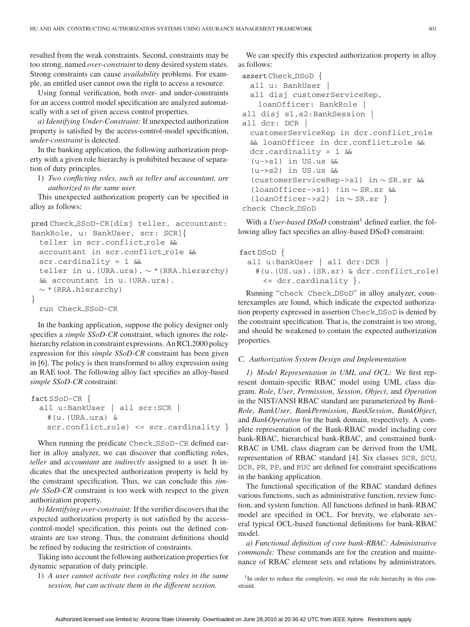resulted from the weak constraints. Second, constraints may be too strong, named *over-constraint* to deny desired system states. Strong constraints can cause *availability* problems. For example, an entitled user cannot own the right to access a resource.

Using formal verification, both over- and under-constraints for an access control model specification are analyzed automatically with a set of given access control properties.

*a) Identifying Under-Constraint:* If unexpected authorization property is satisfied by the access-control-model specification, *under-constraint* is detected.

In the banking application, the following authorization property with a given role hierarchy is prohibited because of separation of duty principles.

1) *Two conflicting roles, such as teller and accountant, are authorized to the same user.*

This unexpected authorization property can be specified in alloy as follows:

```
pred Check SSoD-CR[disj teller, accountant:
BankRole, u: BankUser, scr: SCR]{
 teller in scr.conflict role &&
 accountant in scr.conflict_role &&
 scr.cardinality = 1 &&
 teller in u.(URA.ura). ∼ *(RRA.hierarchy)
 && accountant in u.(URA.ura).
 ∼ *(RRA.hierarchy)
}
 run Check SSoD-CR
```
In the banking application, suppose the policy designer only specifies a *simple SSoD-CR* constraint, which ignores the rolehierarchy relation in constraint expressions. An RCL2000 policy expression for this *simple SSoD-CR* constraint has been given in [6]. The policy is then transformed to alloy expression using an RAE tool. The following alloy fact specifies an alloy-based *simple SSoD-CR* constraint:

```
fact SSoD-CR {
 all u:BankUser | all scr:SCR |
   #(u.(URA.ura) &
   scr.conflict_role) <= scr.cardinality }
```
When running the predicate Check\_SSoD-CR defined earlier in alloy analyzer, we can discover that conflicting roles, *teller* and *accountant* are *indirectly* assigned to a user. It indicates that the unexpected authorization property is held by the constraint specification. Thus, we can conclude this *simple SSoD-CR* constraint is too week with respect to the given authorization property.

*b) Identifying over-constraint:* If the verifier discovers that the expected authorization property is not satisfied by the accesscontrol-model specification, this points out the defined constraints are too strong. Thus, the constraint definitions should be refined by reducing the restriction of constraints.

Taking into account the following authorization properties for dynamic separation of duty principle.

1) *A user cannot activate two conflicting roles in the same session, but can activate them in the different session.*

We can specify this expected authorization property in alloy as follows:

```
assert Check DSoD {
 all u: BankUser |
 all disj customerServiceRep,
   loanOfficer: BankRole |
all disj s1,s2:BankSession |
all dcr: DCR |
 customerServiceRep in dcr.conflict role
 && loanOfficer in dcr.conflict role &&
 dcr.cardinality = 1 &&
 (u->s1) in US.us &&
  (u->s2) in US.us &&
  (customerServiceRep->s1) in ∼ SR.sr &&
  (loanOfficer->s1) !in ∼ SR.sr &&
  (loanOfficer->s2) in ∼ SR.sr }
check Check DSoD
```
With a *User-based DSoD* constraint<sup>1</sup> defined earlier, the following alloy fact specifies an alloy-based DSoD constraint:

```
fact DSoD {
 all u:BankUser | all dcr:DCR |
   #(u.(US.us).(SR.sr) & dcr.conflict role)
     \leq dcr.cardinality \}.
```
Running "check Check DSoD" in alloy analyzer, counterexamples are found, which indicate the expected authorization property expressed in assertion Check DSoD is denied by the constraint specification. That is, the constraint is too strong, and should be weakened to contain the expected authorization properties.

# *C. Authorization System Design and Implementation*

*1) Model Representation in UML and OCL:* We first represent domain-specific RBAC model using UML class diagram. *Role*, *User*, *Permission*, *Session*, *Object*, and *Operation* in the NIST/ANSI RBAC standard are parameterized by *Bank-Role*, *BankUser*, *BankPermission*, *BankSession*, *BankObject*, and *BankOperation* for the bank domain, respectively. A complete representation of the Bank-RBAC model including core bank-RBAC, hierarchical bank-RBAC, and constrained bank-RBAC in UML class diagram can be derived from the UML representation of RBAC standard [4]. Six classes SCR, SCU, DCR, PR, PP, and RUC are defined for constraint specifications in the banking application.

The functional specification of the RBAC standard defines various functions, such as administrative function, review function, and system function. All functions defined in bank-RBAC model are specified in OCL. For brevity, we elaborate several typical OCL-based functional definitions for bank-RBAC model.

*a) Functional definition of core bank-RBAC: Administrative commands:* These commands are for the creation and maintenance of RBAC element sets and relations by administrators.

<sup>1</sup>In order to reduce the complexity, we omit the role hierarchy in this constraint.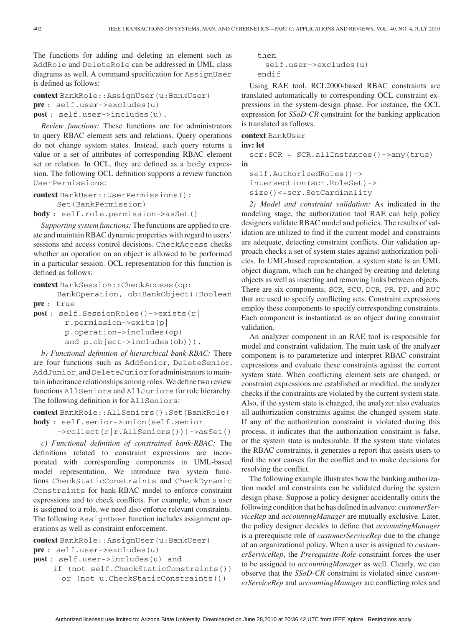The functions for adding and deleting an element such as AddRole and DeleteRole can be addressed in UML class diagrams as well. A command specification for AssignUser is defined as follows:

```
context BankRole::AssignUser(u:BankUser)
pre : self.user->excludes(u)
post : self.user->includes(u).
```
*Review functions:* These functions are for administrators to query RBAC element sets and relations. Query operations do not change system states. Instead, each query returns a value or a set of attributes of corresponding RBAC element set or relation. In OCL, they are defined as a body expression. The following OCL definition supports a review function UserPermissions:

```
context BankUser::UserPermissions():
     Set(BankPermission)
body : self.role.permission->asSet()
```
*Supporting system functions:* The functions are applied to create and maintain RBAC dynamic properties with regard to users' sessions and access control decisions. CheckAccess checks whether an operation on an object is allowed to be performed in a particular session. OCL representation for this function is defined as follows:

**context** BankSession::CheckAccess(op:

```
BankOperation, ob:BankObject):Boolean
pre : true
```

```
post : self.SessionRoles()->exists(r|
      r.permission->exits(p|
      p.operation->includes(op)
      and p.object->includes(ob))).
```
*b) Functional definition of hierarchical bank-RBAC:* There are four functions such as AddSenior, DeleteSenior, AddJunior, and DeleteJunior for administrators to maintain inheritance relationships among roles. We define two review functions AllSeniors and AllJuniors for role hierarchy. The following definition is for AllSeniors:

```
context BankRole::AllSeniors():Set(BankRole)
body : self.senior->union(self.senior
```

```
->collect(r|r.AllSeniors()))->asSet()
```
*c) Functional definition of constrained bank-RBAC:* The definitions related to constraint expressions are incorporated with corresponding components in UML-based model representation. We introduce two system functions CheckStaticConstraints and CheckDynamic Constraints for bank-RBAC model to enforce constraint expressions and to check conflicts. For example, when a user is assigned to a role, we need also enforce relevant constraints. The following AssignUser function includes assignment operations as well as constraint enforcement.

**context** BankRole::AssignUser(u:BankUser) **pre** : self.user->excludes(u) **post** : self.user->includes(u) and if (not self.CheckStaticConstraints()) or (not u.CheckStaticConstraints())

then self.user->excludes(u) endif

Using RAE tool, RCL2000-based RBAC constraints are translated automatically to corresponding OCL constraint expressions in the system-design phase. For instance, the OCL expression for *SSoD-CR* constraint for the banking application is translated as follows.

```
context BankUser
```
**inv: let**

scr:SCR = SCR.allInstances()->any(true) **in**

self.AuthorizedRoles()-> intersection(scr.RoleSet)-> size()<=scr.SetCardinality

*2) Model and constraint validation:* As indicated in the modeling stage, the authorization tool RAE can help policy designers validate RBAC model and policies. The results of validation are utilized to find if the current model and constraints are adequate, detecting constraint conflicts. Our validation approach checks a set of system states against authorization policies. In UML-based representation, a system state is an UML object diagram, which can be changed by creating and deleting objects as well as inserting and removing links between objects. There are six components, SCR, SCU, DCR, PR, PP, and RUC that are used to specify conflicting sets. Constraint expressions employ these components to specify corresponding constraints. Each component is instantiated as an object during constraint validation.

An analyzer component in an RAE tool is responsible for model and constraint validation. The main task of the analyzer component is to parameterize and interpret RBAC constraint expressions and evaluate these constraints against the current system state. When conflicting element sets are changed, or constraint expressions are established or modified, the analyzer checks if the constraints are violated by the current system state. Also, if the system state is changed, the analyzer also evaluates all authorization constraints against the changed system state. If any of the authorization constraint is violated during this process, it indicates that the authorization constraint is false, or the system state is undesirable. If the system state violates the RBAC constraints, it generates a report that assists users to find the root causes for the conflict and to make decisions for resolving the conflict.

The following example illustrates how the banking authorization model and constraints can be validated during the system design phase. Suppose a policy designer accidentally omits the following condition that he has defined in advance: *customerServiceRep* and *accountingManager* are mutually exclusive. Later, the policy designer decides to define that *accountingManager* is a prerequisite role of *customerServiceRep* due to the change of an organizational policy. When a user is assigned to *customerServiceRep*, the *Prerequisite-Role* constraint forces the user to be assigned to *accountingManager* as well. Clearly, we can observe that the *SSoD-CR* constraint is violated since *customerServiceRep* and *accountingManager* are conflicting roles and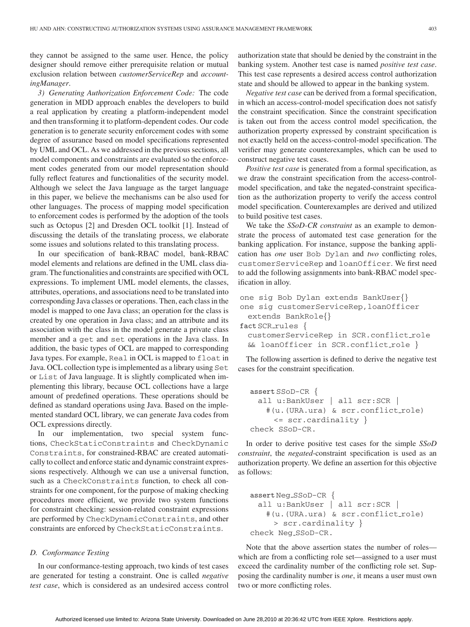they cannot be assigned to the same user. Hence, the policy designer should remove either prerequisite relation or mutual exclusion relation between *customerServiceRep* and *accountingManager*.

*3) Generating Authorization Enforcement Code:* The code generation in MDD approach enables the developers to build a real application by creating a platform-independent model and then transforming it to platform-dependent codes. Our code generation is to generate security enforcement codes with some degree of assurance based on model specifications represented by UML and OCL. As we addressed in the previous sections, all model components and constraints are evaluated so the enforcement codes generated from our model representation should fully reflect features and functionalities of the security model. Although we select the Java language as the target language in this paper, we believe the mechanisms can be also used for other languages. The process of mapping model specification to enforcement codes is performed by the adoption of the tools such as Octopus [2] and Dresden OCL toolkit [1]. Instead of discussing the details of the translating process, we elaborate some issues and solutions related to this translating process.

In our specification of bank-RBAC model, bank-RBAC model elements and relations are defined in the UML class diagram. The functionalities and constraints are specified with OCL expressions. To implement UML model elements, the classes, attributes, operations, and associations need to be translated into corresponding Java classes or operations. Then, each class in the model is mapped to one Java class; an operation for the class is created by one operation in Java class; and an attribute and its association with the class in the model generate a private class member and a get and set operations in the Java class. In addition, the basic types of OCL are mapped to corresponding Java types. For example, Real in OCL is mapped to float in Java. OCL collection type is implemented as a library using Set or List of Java language. It is slightly complicated when implementing this library, because OCL collections have a large amount of predefined operations. These operations should be defined as standard operations using Java. Based on the implemented standard OCL library, we can generate Java codes from OCL expressions directly.

In our implementation, two special system functions, CheckStaticConstraints and CheckDynamic Constraints, for constrained-RBAC are created automatically to collect and enforce static and dynamic constraint expressions respectively. Although we can use a universal function, such as a CheckConstraints function, to check all constraints for one component, for the purpose of making checking procedures more efficient, we provide two system functions for constraint checking: session-related constraint expressions are performed by CheckDynamicConstraints, and other constraints are enforced by CheckStaticConstraints.

#### *D. Conformance Testing*

In our conformance-testing approach, two kinds of test cases are generated for testing a constraint. One is called *negative test case*, which is considered as an undesired access control authorization state that should be denied by the constraint in the banking system. Another test case is named *positive test case*. This test case represents a desired access control authorization state and should be allowed to appear in the banking system.

*Negative test case* can be derived from a formal specification, in which an access-control-model specification does not satisfy the constraint specification. Since the constraint specification is taken out from the access control model specification, the authorization property expressed by constraint specification is not exactly held on the access-control-model specification. The verifier may generate counterexamples, which can be used to construct negative test cases.

*Positive test case* is generated from a formal specification, as we draw the constraint specification from the access-controlmodel specification, and take the negated-constraint specification as the authorization property to verify the access control model specification. Counterexamples are derived and utilized to build positive test cases.

We take the *SSoD-CR constraint* as an example to demonstrate the process of automated test case generation for the banking application. For instance, suppose the banking application has *one* user Bob Dylan and *two* conflicting roles, customerServiceRep and loanOfficer. We first need to add the following assignments into bank-RBAC model specification in alloy.

```
one sig Bob Dylan extends BankUser{}
one sig customerServiceRep,loanOfficer
 extends BankRole{}
fact SCR_rules {
 customerServiceRep in SCR.conflict role
 & loanOfficer in SCR.conflict_role }
```
The following assertion is defined to derive the negative test cases for the constraint specification.

```
assert SSoD-CR {
 all u:BankUser | all scr:SCR |
   #(u.(URA.ura) & scr.conflict_role)
     <= scr.cardinality }
check SSoD-CR.
```
In order to derive positive test cases for the simple *SSoD constraint*, the *negated*-constraint specification is used as an authorization property. We define an assertion for this objective as follows:

```
assert Neg_SSoD-CR {
 all u:BankUser | all scr:SCR |
   #(u.(URA.ura) & scr.conflict role)
     > scr.cardinality }
check Neg SSoD-CR.
```
Note that the above assertion states the number of roles which are from a conflicting role set—assigned to a user must exceed the cardinality number of the conflicting role set. Supposing the cardinality number is *one*, it means a user must own two or more conflicting roles.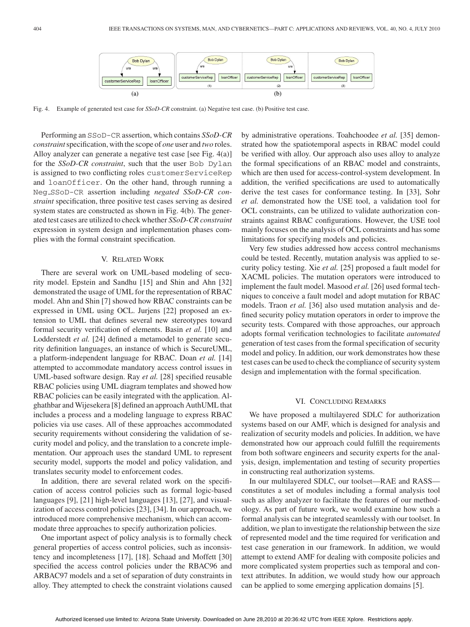

Fig. 4. Example of generated test case for *SSoD-CR* constraint. (a) Negative test case. (b) Positive test case.

Performing an SSoD-CR assertion, which contains *SSoD-CR constraint*specification, with the scope of *one* user and *two* roles. Alloy analyzer can generate a negative test case [see Fig. 4(a)] for the *SSoD-CR constraint*, such that the user Bob Dylan is assigned to two conflicting roles customerServiceRep and loanOfficer. On the other hand, through running a Neg SSoD-CR assertion including *negated SSoD-CR constraint* specification, three positive test cases serving as desired system states are constructed as shown in Fig. 4(b). The generated test cases are utilized to check whether *SSoD-CR constraint* expression in system design and implementation phases complies with the formal constraint specification.

# V. RELATED WORK

There are several work on UML-based modeling of security model. Epstein and Sandhu [15] and Shin and Ahn [32] demonstrated the usage of UML for the representation of RBAC model. Ahn and Shin [7] showed how RBAC constraints can be expressed in UML using OCL. Jurjens [22] proposed an extension to UML that defines several new stereotypes toward formal security verification of elements. Basin *et al.* [10] and Lodderstedt *et al.* [24] defined a metamodel to generate security definition languages, an instance of which is SecureUML, a platform-independent language for RBAC. Doan *et al.* [14] attempted to accommodate mandatory access control issues in UML-based software design. Ray *et al.* [28] specified reusable RBAC policies using UML diagram templates and showed how RBAC policies can be easily integrated with the application. Alghathbar and Wijesekera [8] defined an approach AuthUML that includes a process and a modeling language to express RBAC policies via use cases. All of these approaches accommodated security requirements without considering the validation of security model and policy, and the translation to a concrete implementation. Our approach uses the standard UML to represent security model, supports the model and policy validation, and translates security model to enforcement codes.

In addition, there are several related work on the specification of access control policies such as formal logic-based languages [9], [21] high-level languages [13], [27], and visualization of access control policies [23], [34]. In our approach, we introduced more comprehensive mechanism, which can accommodate three approaches to specify authorization policies.

One important aspect of policy analysis is to formally check general properties of access control policies, such as inconsistency and incompleteness [17], [18]. Schaad and Moffett [30] specified the access control policies under the RBAC96 and ARBAC97 models and a set of separation of duty constraints in alloy. They attempted to check the constraint violations caused

by administrative operations. Toahchoodee *et al.* [35] demonstrated how the spatiotemporal aspects in RBAC model could be verified with alloy. Our approach also uses alloy to analyze the formal specifications of an RBAC model and constraints, which are then used for access-control-system development. In addition, the verified specifications are used to automatically derive the test cases for conformance testing. In [33], Sohr *et al.* demonstrated how the USE tool, a validation tool for OCL constraints, can be utilized to validate authorization constraints against RBAC configurations. However, the USE tool mainly focuses on the analysis of OCL constraints and has some limitations for specifying models and policies.

Very few studies addressed how access control mechanisms could be tested. Recently, mutation analysis was applied to security policy testing. Xie *et al.* [25] proposed a fault model for XACML policies. The mutation operators were introduced to implement the fault model. Masood *et al.* [26] used formal techniques to conceive a fault model and adopt mutation for RBAC models. Traon *et al.* [36] also used mutation analysis and defined security policy mutation operators in order to improve the security tests. Compared with those approaches, our approach adopts formal verification technologies to facilitate *automated* generation of test cases from the formal specification of security model and policy. In addition, our work demonstrates how these test cases can be used to check the compliance of security system design and implementation with the formal specification.

#### VI. CONCLUDING REMARKS

We have proposed a multilayered SDLC for authorization systems based on our AMF, which is designed for analysis and realization of security models and policies. In addition, we have demonstrated how our approach could fulfill the requirements from both software engineers and security experts for the analysis, design, implementation and testing of security properties in constructing real authorization systems.

In our multilayered SDLC, our toolset—RAE and RASS constitutes a set of modules including a formal analysis tool such as alloy analyzer to facilitate the features of our methodology. As part of future work, we would examine how such a formal analysis can be integrated seamlessly with our toolset. In addition, we plan to investigate the relationship between the size of represented model and the time required for verification and test case generation in our framework. In addition, we would attempt to extend AMF for dealing with composite policies and more complicated system properties such as temporal and context attributes. In addition, we would study how our approach can be applied to some emerging application domains [5].